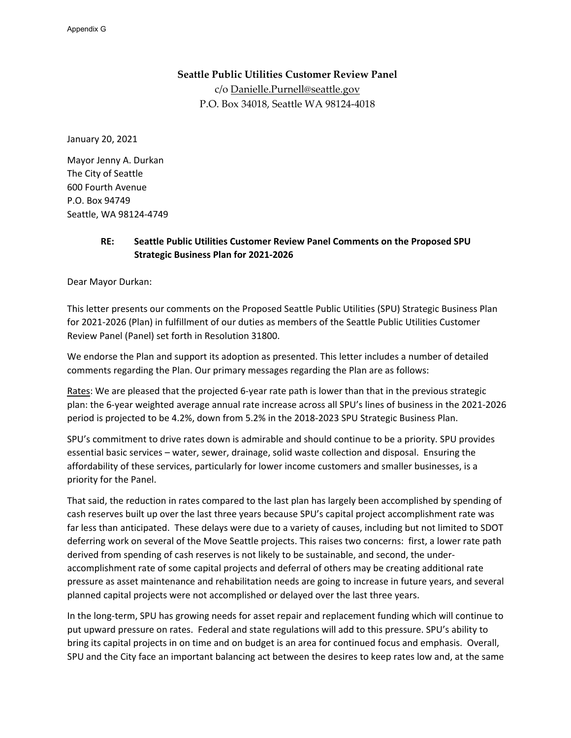# **Seattle Public Utilities Customer Review Panel**

c/o [Danielle.Purnell@seattle.gov](mailto:Danielle.Purnell@seattle.gov) P.O. Box 34018, Seattle WA 98124-4018

January 20, 2021

Mayor Jenny A. Durkan The City of Seattle 600 Fourth Avenue P.O. Box 94749 Seattle, WA 98124-4749

# **RE: Seattle Public Utilities Customer Review Panel Comments on the Proposed SPU Strategic Business Plan for 2021-2026**

Dear Mayor Durkan:

This letter presents our comments on the Proposed Seattle Public Utilities (SPU) Strategic Business Plan for 2021-2026 (Plan) in fulfillment of our duties as members of the Seattle Public Utilities Customer Review Panel (Panel) set forth in Resolution 31800.

We endorse the Plan and support its adoption as presented. This letter includes a number of detailed comments regarding the Plan. Our primary messages regarding the Plan are as follows:

Rates: We are pleased that the projected 6-year rate path is lower than that in the previous strategic plan: the 6-year weighted average annual rate increase across all SPU's lines of business in the 2021-2026 period is projected to be 4.2%, down from 5.2% in the 2018-2023 SPU Strategic Business Plan.

SPU's commitment to drive rates down is admirable and should continue to be a priority. SPU provides essential basic services – water, sewer, drainage, solid waste collection and disposal. Ensuring the affordability of these services, particularly for lower income customers and smaller businesses, is a priority for the Panel.

That said, the reduction in rates compared to the last plan has largely been accomplished by spending of cash reserves built up over the last three years because SPU's capital project accomplishment rate was far less than anticipated. These delays were due to a variety of causes, including but not limited to SDOT deferring work on several of the Move Seattle projects. This raises two concerns: first, a lower rate path derived from spending of cash reserves is not likely to be sustainable, and second, the underaccomplishment rate of some capital projects and deferral of others may be creating additional rate pressure as asset maintenance and rehabilitation needs are going to increase in future years, and several planned capital projects were not accomplished or delayed over the last three years.

In the long-term, SPU has growing needs for asset repair and replacement funding which will continue to put upward pressure on rates. Federal and state regulations will add to this pressure. SPU's ability to bring its capital projects in on time and on budget is an area for continued focus and emphasis. Overall, SPU and the City face an important balancing act between the desires to keep rates low and, at the same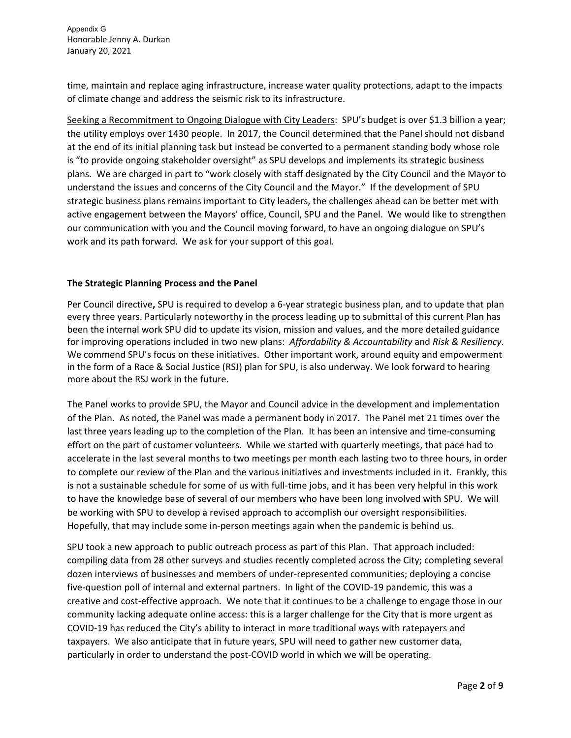time, maintain and replace aging infrastructure, increase water quality protections, adapt to the impacts of climate change and address the seismic risk to its infrastructure.

Seeking a Recommitment to Ongoing Dialogue with City Leaders: SPU's budget is over \$1.3 billion a year; the utility employs over 1430 people. In 2017, the Council determined that the Panel should not disband at the end of its initial planning task but instead be converted to a permanent standing body whose role is "to provide ongoing stakeholder oversight" as SPU develops and implements its strategic business plans. We are charged in part to "work closely with staff designated by the City Council and the Mayor to understand the issues and concerns of the City Council and the Mayor." If the development of SPU strategic business plans remains important to City leaders, the challenges ahead can be better met with active engagement between the Mayors' office, Council, SPU and the Panel. We would like to strengthen our communication with you and the Council moving forward, to have an ongoing dialogue on SPU's work and its path forward. We ask for your support of this goal.

#### **The Strategic Planning Process and the Panel**

Per Council directive**,** SPU is required to develop a 6-year strategic business plan, and to update that plan every three years. Particularly noteworthy in the process leading up to submittal of this current Plan has been the internal work SPU did to update its vision, mission and values, and the more detailed guidance for improving operations included in two new plans: *Affordability & Accountability* and *Risk & Resiliency*. We commend SPU's focus on these initiatives. Other important work, around equity and empowerment in the form of a Race & Social Justice (RSJ) plan for SPU, is also underway. We look forward to hearing more about the RSJ work in the future.

The Panel works to provide SPU, the Mayor and Council advice in the development and implementation of the Plan. As noted, the Panel was made a permanent body in 2017. The Panel met 21 times over the last three years leading up to the completion of the Plan. It has been an intensive and time-consuming effort on the part of customer volunteers. While we started with quarterly meetings, that pace had to accelerate in the last several months to two meetings per month each lasting two to three hours, in order to complete our review of the Plan and the various initiatives and investments included in it. Frankly, this is not a sustainable schedule for some of us with full-time jobs, and it has been very helpful in this work to have the knowledge base of several of our members who have been long involved with SPU. We will be working with SPU to develop a revised approach to accomplish our oversight responsibilities. Hopefully, that may include some in-person meetings again when the pandemic is behind us.

SPU took a new approach to public outreach process as part of this Plan. That approach included: compiling data from 28 other surveys and studies recently completed across the City; completing several dozen interviews of businesses and members of under-represented communities; deploying a concise five-question poll of internal and external partners. In light of the COVID-19 pandemic, this was a creative and cost-effective approach. We note that it continues to be a challenge to engage those in our community lacking adequate online access: this is a larger challenge for the City that is more urgent as COVID-19 has reduced the City's ability to interact in more traditional ways with ratepayers and taxpayers. We also anticipate that in future years, SPU will need to gather new customer data, particularly in order to understand the post-COVID world in which we will be operating.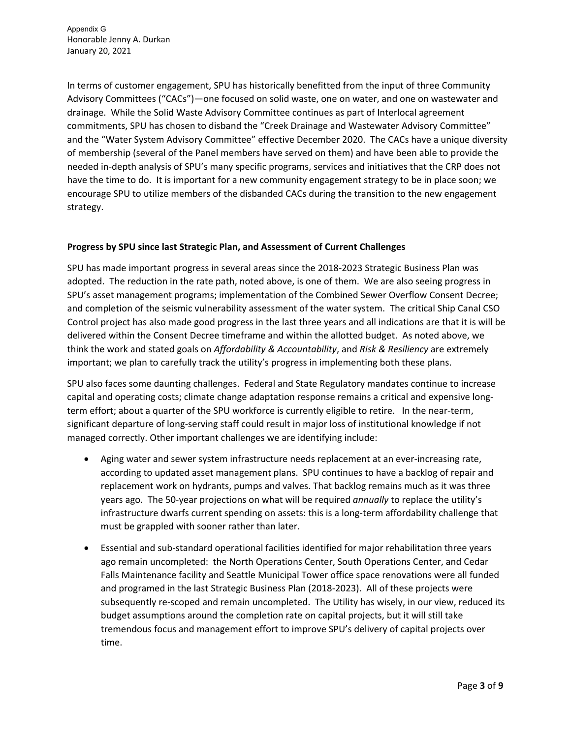In terms of customer engagement, SPU has historically benefitted from the input of three Community Advisory Committees ("CACs")—one focused on solid waste, one on water, and one on wastewater and drainage. While the Solid Waste Advisory Committee continues as part of Interlocal agreement commitments, SPU has chosen to disband the "Creek Drainage and Wastewater Advisory Committee" and the "Water System Advisory Committee" effective December 2020. The CACs have a unique diversity of membership (several of the Panel members have served on them) and have been able to provide the needed in-depth analysis of SPU's many specific programs, services and initiatives that the CRP does not have the time to do. It is important for a new community engagement strategy to be in place soon; we encourage SPU to utilize members of the disbanded CACs during the transition to the new engagement strategy.

# **Progress by SPU since last Strategic Plan, and Assessment of Current Challenges**

SPU has made important progress in several areas since the 2018-2023 Strategic Business Plan was adopted. The reduction in the rate path, noted above, is one of them. We are also seeing progress in SPU's asset management programs; implementation of the Combined Sewer Overflow Consent Decree; and completion of the seismic vulnerability assessment of the water system. The critical Ship Canal CSO Control project has also made good progress in the last three years and all indications are that it is will be delivered within the Consent Decree timeframe and within the allotted budget. As noted above, we think the work and stated goals on *Affordability & Accountability*, and *Risk & Resiliency* are extremely important; we plan to carefully track the utility's progress in implementing both these plans.

SPU also faces some daunting challenges. Federal and State Regulatory mandates continue to increase capital and operating costs; climate change adaptation response remains a critical and expensive longterm effort; about a quarter of the SPU workforce is currently eligible to retire. In the near-term, significant departure of long-serving staff could result in major loss of institutional knowledge if not managed correctly. Other important challenges we are identifying include:

- Aging water and sewer system infrastructure needs replacement at an ever-increasing rate, according to updated asset management plans. SPU continues to have a backlog of repair and replacement work on hydrants, pumps and valves. That backlog remains much as it was three years ago. The 50-year projections on what will be required *annually* to replace the utility's infrastructure dwarfs current spending on assets: this is a long-term affordability challenge that must be grappled with sooner rather than later.
- Essential and sub-standard operational facilities identified for major rehabilitation three years ago remain uncompleted: the North Operations Center, South Operations Center, and Cedar Falls Maintenance facility and Seattle Municipal Tower office space renovations were all funded and programed in the last Strategic Business Plan (2018-2023). All of these projects were subsequently re-scoped and remain uncompleted. The Utility has wisely, in our view, reduced its budget assumptions around the completion rate on capital projects, but it will still take tremendous focus and management effort to improve SPU's delivery of capital projects over time.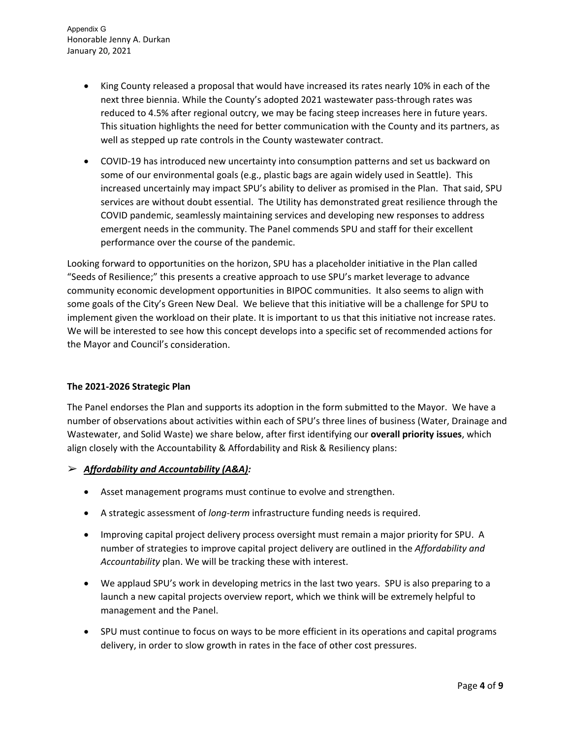- King County released a proposal that would have increased its rates nearly 10% in each of the next three biennia. While the County's adopted 2021 wastewater pass-through rates was reduced to 4.5% after regional outcry, we may be facing steep increases here in future years. This situation highlights the need for better communication with the County and its partners, as well as stepped up rate controls in the County wastewater contract.
- COVID-19 has introduced new uncertainty into consumption patterns and set us backward on some of our environmental goals (e.g., plastic bags are again widely used in Seattle). This increased uncertainly may impact SPU's ability to deliver as promised in the Plan. That said, SPU services are without doubt essential. The Utility has demonstrated great resilience through the COVID pandemic, seamlessly maintaining services and developing new responses to address emergent needs in the community. The Panel commends SPU and staff for their excellent performance over the course of the pandemic.

Looking forward to opportunities on the horizon, SPU has a placeholder initiative in the Plan called "Seeds of Resilience;" this presents a creative approach to use SPU's market leverage to advance community economic development opportunities in BIPOC communities. It also seems to align with some goals of the City's Green New Deal. We believe that this initiative will be a challenge for SPU to implement given the workload on their plate. It is important to us that this initiative not increase rates. We will be interested to see how this concept develops into a specific set of recommended actions for the Mayor and Council's consideration.

# **The 2021-2026 Strategic Plan**

The Panel endorses the Plan and supports its adoption in the form submitted to the Mayor. We have a number of observations about activities within each of SPU's three lines of business (Water, Drainage and Wastewater, and Solid Waste) we share below, after first identifying our **overall priority issues**, which align closely with the Accountability & Affordability and Risk & Resiliency plans:

# ➢ *Affordability and Accountability (A&A):*

- Asset management programs must continue to evolve and strengthen.
- A strategic assessment of *long-term* infrastructure funding needs is required.
- Improving capital project delivery process oversight must remain a major priority for SPU. A number of strategies to improve capital project delivery are outlined in the *Affordability and Accountability* plan. We will be tracking these with interest.
- We applaud SPU's work in developing metrics in the last two years. SPU is also preparing to a launch a new capital projects overview report, which we think will be extremely helpful to management and the Panel.
- SPU must continue to focus on ways to be more efficient in its operations and capital programs delivery, in order to slow growth in rates in the face of other cost pressures.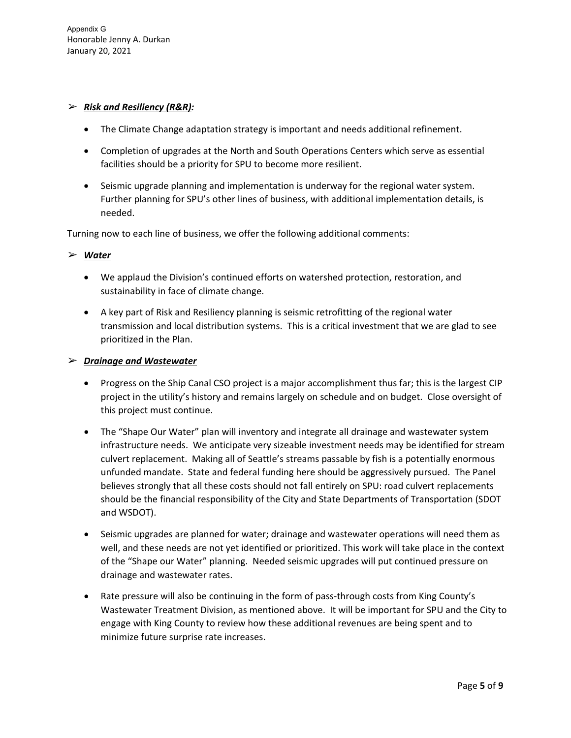# ➢ *Risk and Resiliency (R&R):*

- The Climate Change adaptation strategy is important and needs additional refinement.
- Completion of upgrades at the North and South Operations Centers which serve as essential facilities should be a priority for SPU to become more resilient.
- Seismic upgrade planning and implementation is underway for the regional water system. Further planning for SPU's other lines of business, with additional implementation details, is needed.

Turning now to each line of business, we offer the following additional comments:

# ➢ *Water*

- We applaud the Division's continued efforts on watershed protection, restoration, and sustainability in face of climate change.
- A key part of Risk and Resiliency planning is seismic retrofitting of the regional water transmission and local distribution systems. This is a critical investment that we are glad to see prioritized in the Plan.

#### ➢ *Drainage and Wastewater*

- Progress on the Ship Canal CSO project is a major accomplishment thus far; this is the largest CIP project in the utility's history and remains largely on schedule and on budget. Close oversight of this project must continue.
- The "Shape Our Water" plan will inventory and integrate all drainage and wastewater system infrastructure needs. We anticipate very sizeable investment needs may be identified for stream culvert replacement. Making all of Seattle's streams passable by fish is a potentially enormous unfunded mandate. State and federal funding here should be aggressively pursued. The Panel believes strongly that all these costs should not fall entirely on SPU: road culvert replacements should be the financial responsibility of the City and State Departments of Transportation (SDOT and WSDOT).
- Seismic upgrades are planned for water; drainage and wastewater operations will need them as well, and these needs are not yet identified or prioritized. This work will take place in the context of the "Shape our Water" planning. Needed seismic upgrades will put continued pressure on drainage and wastewater rates.
- Rate pressure will also be continuing in the form of pass-through costs from King County's Wastewater Treatment Division, as mentioned above. It will be important for SPU and the City to engage with King County to review how these additional revenues are being spent and to minimize future surprise rate increases.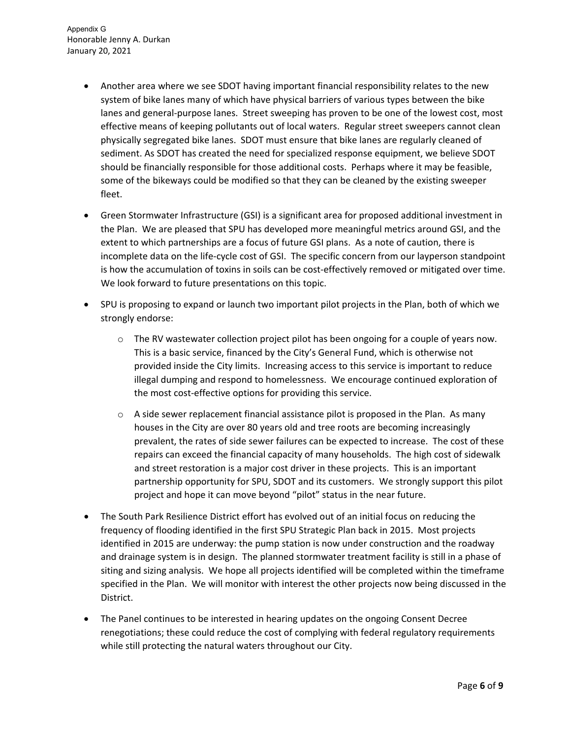- Another area where we see SDOT having important financial responsibility relates to the new system of bike lanes many of which have physical barriers of various types between the bike lanes and general-purpose lanes. Street sweeping has proven to be one of the lowest cost, most effective means of keeping pollutants out of local waters. Regular street sweepers cannot clean physically segregated bike lanes. SDOT must ensure that bike lanes are regularly cleaned of sediment. As SDOT has created the need for specialized response equipment, we believe SDOT should be financially responsible for those additional costs. Perhaps where it may be feasible, some of the bikeways could be modified so that they can be cleaned by the existing sweeper fleet.
- Green Stormwater Infrastructure (GSI) is a significant area for proposed additional investment in the Plan. We are pleased that SPU has developed more meaningful metrics around GSI, and the extent to which partnerships are a focus of future GSI plans. As a note of caution, there is incomplete data on the life-cycle cost of GSI. The specific concern from our layperson standpoint is how the accumulation of toxins in soils can be cost-effectively removed or mitigated over time. We look forward to future presentations on this topic.
- SPU is proposing to expand or launch two important pilot projects in the Plan, both of which we strongly endorse:
	- $\circ$  The RV wastewater collection project pilot has been ongoing for a couple of years now. This is a basic service, financed by the City's General Fund, which is otherwise not provided inside the City limits. Increasing access to this service is important to reduce illegal dumping and respond to homelessness. We encourage continued exploration of the most cost-effective options for providing this service.
	- $\circ$  A side sewer replacement financial assistance pilot is proposed in the Plan. As many houses in the City are over 80 years old and tree roots are becoming increasingly prevalent, the rates of side sewer failures can be expected to increase. The cost of these repairs can exceed the financial capacity of many households. The high cost of sidewalk and street restoration is a major cost driver in these projects. This is an important partnership opportunity for SPU, SDOT and its customers. We strongly support this pilot project and hope it can move beyond "pilot" status in the near future.
- The South Park Resilience District effort has evolved out of an initial focus on reducing the frequency of flooding identified in the first SPU Strategic Plan back in 2015. Most projects identified in 2015 are underway: the pump station is now under construction and the roadway and drainage system is in design. The planned stormwater treatment facility is still in a phase of siting and sizing analysis. We hope all projects identified will be completed within the timeframe specified in the Plan. We will monitor with interest the other projects now being discussed in the District.
- The Panel continues to be interested in hearing updates on the ongoing Consent Decree renegotiations; these could reduce the cost of complying with federal regulatory requirements while still protecting the natural waters throughout our City.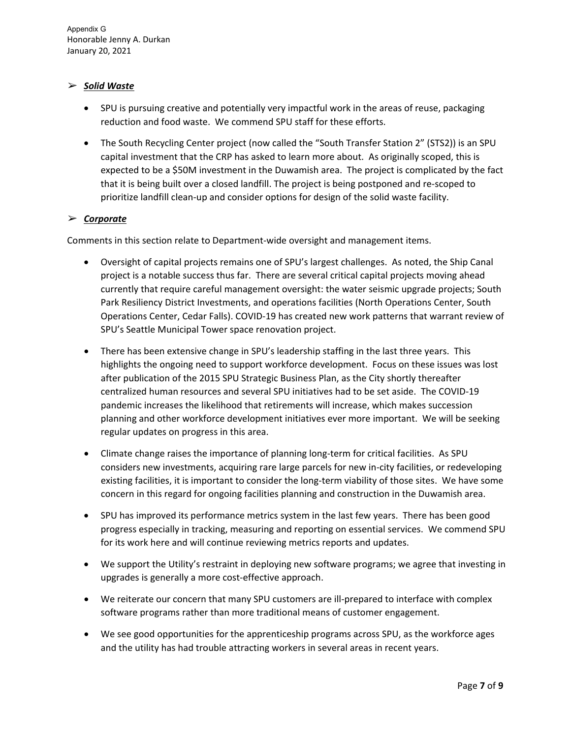# ➢ *Solid Waste*

- SPU is pursuing creative and potentially very impactful work in the areas of reuse, packaging reduction and food waste. We commend SPU staff for these efforts.
- The South Recycling Center project (now called the "South Transfer Station 2" (STS2)) is an SPU capital investment that the CRP has asked to learn more about. As originally scoped, this is expected to be a \$50M investment in the Duwamish area. The project is complicated by the fact that it is being built over a closed landfill. The project is being postponed and re-scoped to prioritize landfill clean-up and consider options for design of the solid waste facility.

# ➢ *Corporate*

Comments in this section relate to Department-wide oversight and management items.

- Oversight of capital projects remains one of SPU's largest challenges. As noted, the Ship Canal project is a notable success thus far. There are several critical capital projects moving ahead currently that require careful management oversight: the water seismic upgrade projects; South Park Resiliency District Investments, and operations facilities (North Operations Center, South Operations Center, Cedar Falls). COVID-19 has created new work patterns that warrant review of SPU's Seattle Municipal Tower space renovation project.
- There has been extensive change in SPU's leadership staffing in the last three years. This highlights the ongoing need to support workforce development. Focus on these issues was lost after publication of the 2015 SPU Strategic Business Plan, as the City shortly thereafter centralized human resources and several SPU initiatives had to be set aside. The COVID-19 pandemic increases the likelihood that retirements will increase, which makes succession planning and other workforce development initiatives ever more important. We will be seeking regular updates on progress in this area.
- Climate change raises the importance of planning long-term for critical facilities. As SPU considers new investments, acquiring rare large parcels for new in-city facilities, or redeveloping existing facilities, it is important to consider the long-term viability of those sites. We have some concern in this regard for ongoing facilities planning and construction in the Duwamish area.
- SPU has improved its performance metrics system in the last few years. There has been good progress especially in tracking, measuring and reporting on essential services. We commend SPU for its work here and will continue reviewing metrics reports and updates.
- We support the Utility's restraint in deploying new software programs; we agree that investing in upgrades is generally a more cost-effective approach.
- We reiterate our concern that many SPU customers are ill-prepared to interface with complex software programs rather than more traditional means of customer engagement.
- We see good opportunities for the apprenticeship programs across SPU, as the workforce ages and the utility has had trouble attracting workers in several areas in recent years.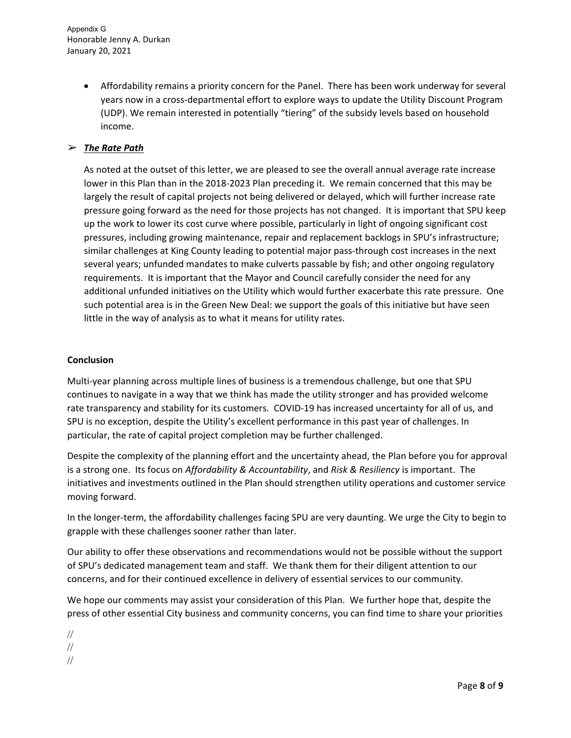> • Affordability remains a priority concern for the Panel. There has been work underway for several years now in a cross-departmental effort to explore ways to update the Utility Discount Program (UDP). We remain interested in potentially "tiering" of the subsidy levels based on household income.

# ➢ *The Rate Path*

As noted at the outset of this letter, we are pleased to see the overall annual average rate increase lower in this Plan than in the 2018-2023 Plan preceding it. We remain concerned that this may be largely the result of capital projects not being delivered or delayed, which will further increase rate pressure going forward as the need for those projects has not changed. It is important that SPU keep up the work to lower its cost curve where possible, particularly in light of ongoing significant cost pressures, including growing maintenance, repair and replacement backlogs in SPU's infrastructure; similar challenges at King County leading to potential major pass-through cost increases in the next several years; unfunded mandates to make culverts passable by fish; and other ongoing regulatory requirements. It is important that the Mayor and Council carefully consider the need for any additional unfunded initiatives on the Utility which would further exacerbate this rate pressure. One such potential area is in the Green New Deal: we support the goals of this initiative but have seen little in the way of analysis as to what it means for utility rates.

#### **Conclusion**

Multi-year planning across multiple lines of business is a tremendous challenge, but one that SPU continues to navigate in a way that we think has made the utility stronger and has provided welcome rate transparency and stability for its customers. COVID-19 has increased uncertainty for all of us, and SPU is no exception, despite the Utility's excellent performance in this past year of challenges. In particular, the rate of capital project completion may be further challenged.

Despite the complexity of the planning effort and the uncertainty ahead, the Plan before you for approval is a strong one. Its focus on *Affordability & Accountability*, and *Risk & Resiliency* is important. The initiatives and investments outlined in the Plan should strengthen utility operations and customer service moving forward.

In the longer-term, the affordability challenges facing SPU are very daunting. We urge the City to begin to grapple with these challenges sooner rather than later.

Our ability to offer these observations and recommendations would not be possible without the support of SPU's dedicated management team and staff. We thank them for their diligent attention to our concerns, and for their continued excellence in delivery of essential services to our community.

We hope our comments may assist your consideration of this Plan. We further hope that, despite the press of other essential City business and community concerns, you can find time to share your priorities

// // //